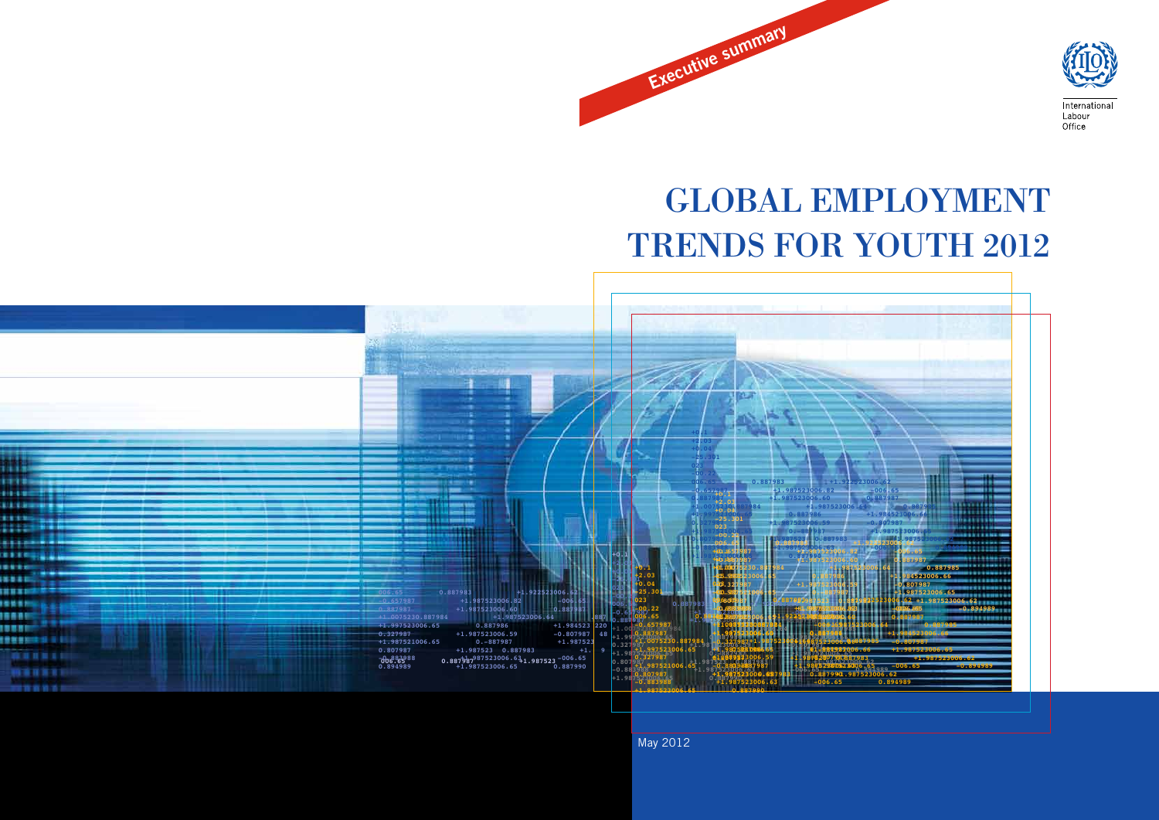

# GLOBAL EMPLOYMENT TRENDS FOR YOUTH 2012

Executive summary



May 2012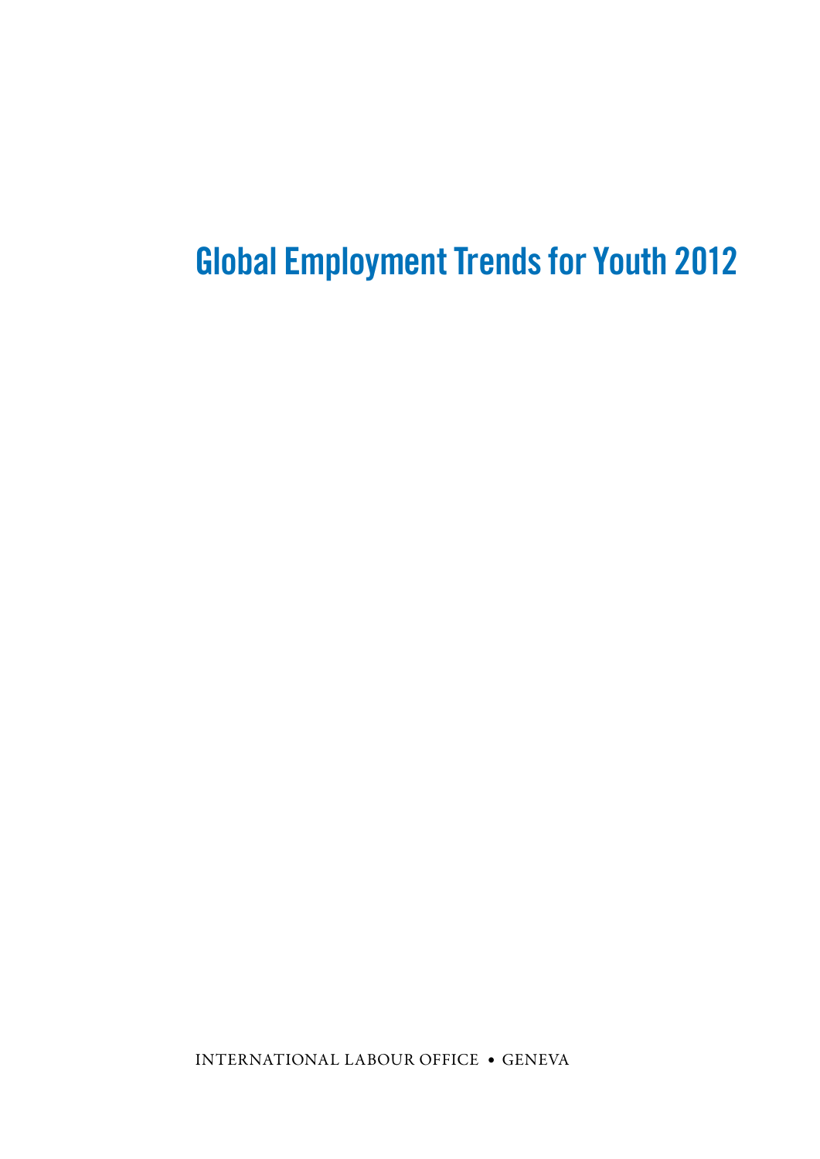## Global Employment Trends for Youth 2012

International Labour Office • Geneva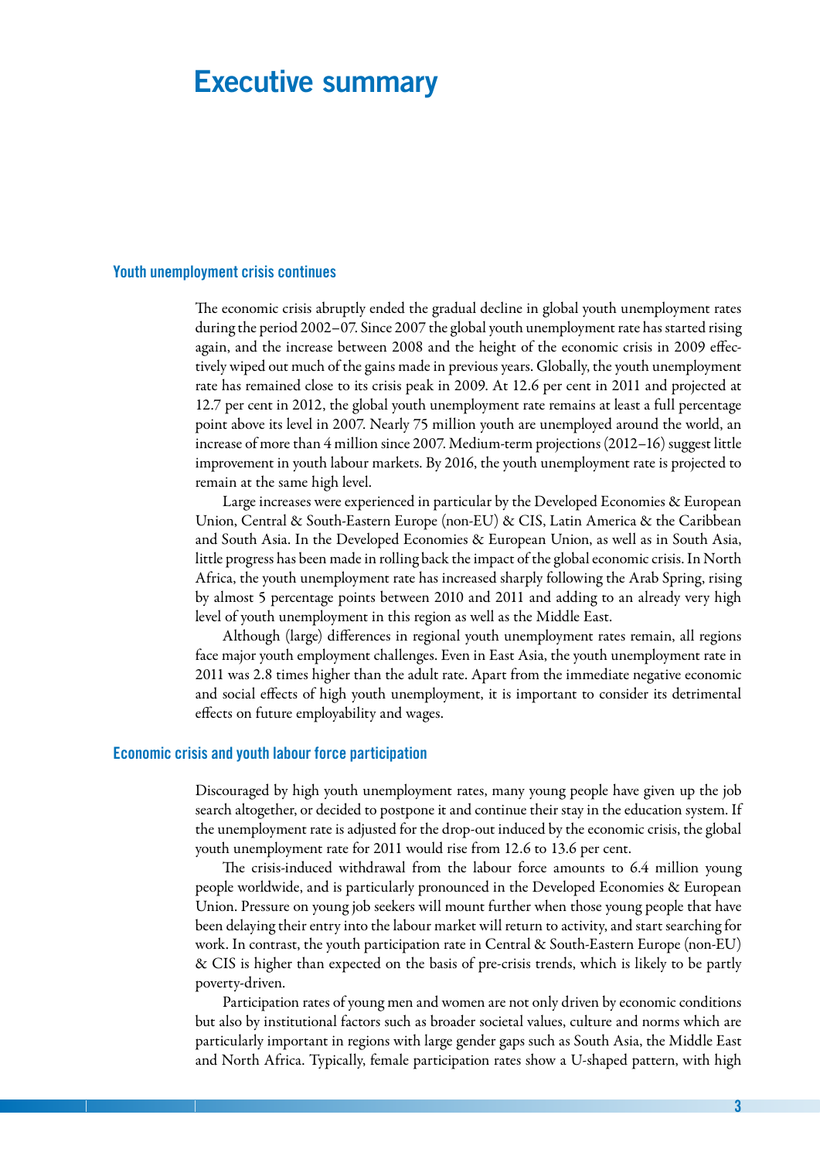### Executive summary

#### Youth unemployment crisis continues

The economic crisis abruptly ended the gradual decline in global youth unemployment rates during the period 2002–07. Since 2007 the global youth unemployment rate has started rising again, and the increase between 2008 and the height of the economic crisis in 2009 effectively wiped out much of the gains made in previous years. Globally, the youth unemployment rate has remained close to its crisis peak in 2009. At 12.6 per cent in 2011 and projected at 12.7 per cent in 2012, the global youth unemployment rate remains at least a full percentage point above its level in 2007. Nearly 75 million youth are unemployed around the world, an increase of more than 4 million since 2007. Medium-term projections (2012–16) suggest little improvement in youth labour markets. By 2016, the youth unemployment rate is projected to remain at the same high level.

Large increases were experienced in particular by the Developed Economies & European Union, Central & South-Eastern Europe (non-EU) & CIS, Latin America & the Caribbean and South Asia. In the Developed Economies & European Union, as well as in South Asia, little progress has been made in rolling back the impact of the global economic crisis. In North Africa, the youth unemployment rate has increased sharply following the Arab Spring, rising by almost 5 percentage points between 2010 and 2011 and adding to an already very high level of youth unemployment in this region as well as the Middle East.

Although (large) differences in regional youth unemployment rates remain, all regions face major youth employment challenges. Even in East Asia, the youth unemployment rate in 2011 was 2.8 times higher than the adult rate. Apart from the immediate negative economic and social effects of high youth unemployment, it is important to consider its detrimental effects on future employability and wages.

#### Economic crisis and youth labour force participation

Discouraged by high youth unemployment rates, many young people have given up the job search altogether, or decided to postpone it and continue their stay in the education system. If the unemployment rate is adjusted for the drop-out induced by the economic crisis, the global youth unemployment rate for 2011 would rise from 12.6 to 13.6 per cent.

The crisis-induced withdrawal from the labour force amounts to 6.4 million young people worldwide, and is particularly pronounced in the Developed Economies & European Union. Pressure on young job seekers will mount further when those young people that have been delaying their entry into the labour market will return to activity, and start searching for work. In contrast, the youth participation rate in Central & South-Eastern Europe (non-EU) & CIS is higher than expected on the basis of pre-crisis trends, which is likely to be partly poverty-driven.

Participation rates of young men and women are not only driven by economic conditions but also by institutional factors such as broader societal values, culture and norms which are particularly important in regions with large gender gaps such as South Asia, the Middle East and North Africa. Typically, female participation rates show a U-shaped pattern, with high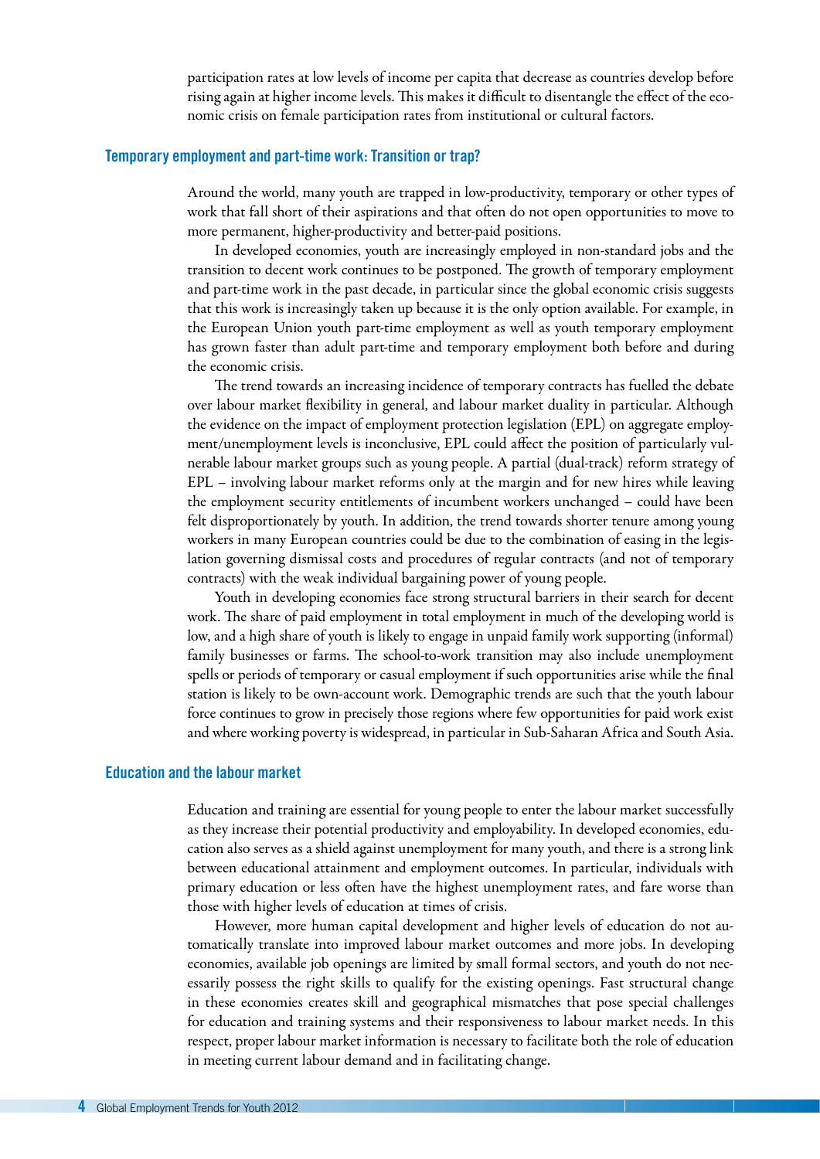participation rates at low levels of income per capita that decrease as countries develop before rising again at higher income levels. This makes it difficult to disentangle the effect of the economic crisis on female participation rates from institutional or cultural factors.

#### Temporary employment and part-time work: Transition or trap?

Around the world, many youth are trapped in low-productivity, temporary or other types of work that fall short of their aspirations and that often do not open opportunities to move to more permanent, higher-productivity and better-paid positions.

In developed economies, youth are increasingly employed in non-standard jobs and the transition to decent work continues to be postponed. The growth of temporary employment and part-time work in the past decade, in particular since the global economic crisis suggests that this work is increasingly taken up because it is the only option available. For example, in the European Union youth part-time employment as well as youth temporary employment has grown faster than adult part-time and temporary employment both before and during the economic crisis.

The trend towards an increasing incidence of temporary contracts has fuelled the debate over labour market flexibility in general, and labour market duality in particular. Although the evidence on the impact of employment protection legislation (EPL) on aggregate employment/unemployment levels is inconclusive, EPL could affect the position of particularly vulnerable labour market groups such as young people. A partial (dual-track) reform strategy of EPL – involving labour market reforms only at the margin and for new hires while leaving the employment security entitlements of incumbent workers unchanged – could have been felt disproportionately by youth. In addition, the trend towards shorter tenure among young workers in many European countries could be due to the combination of easing in the legislation governing dismissal costs and procedures of regular contracts (and not of temporary contracts) with the weak individual bargaining power of young people.

Youth in developing economies face strong structural barriers in their search for decent work. The share of paid employment in total employment in much of the developing world is low, and a high share of youth is likely to engage in unpaid family work supporting (informal) family businesses or farms. The school-to-work transition may also include unemployment spells or periods of temporary or casual employment if such opportunities arise while the final station is likely to be own-account work. Demographic trends are such that the youth labour force continues to grow in precisely those regions where few opportunities for paid work exist and where working poverty is widespread, in particular in Sub-Saharan Africa and South Asia.

#### Education and the labour market

Education and training are essential for young people to enter the labour market successfully as they increase their potential productivity and employability. In developed economies, education also serves as a shield against unemployment for many youth, and there is a strong link between educational attainment and employment outcomes. In particular, individuals with primary education or less often have the highest unemployment rates, and fare worse than those with higher levels of education at times of crisis.

However, more human capital development and higher levels of education do not automatically translate into improved labour market outcomes and more jobs. In developing economies, available job openings are limited by small formal sectors, and youth do not necessarily possess the right skills to qualify for the existing openings. Fast structural change in these economies creates skill and geographical mismatches that pose special challenges for education and training systems and their responsiveness to labour market needs. In this respect, proper labour market information is necessary to facilitate both the role of education in meeting current labour demand and in facilitating change.